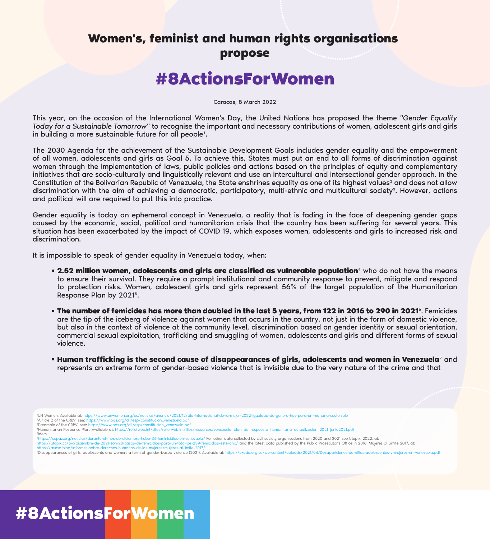### **Women's, feminist and human rights organisations propose**

## **#8ActionsForWomen**

Caracas, 8 March 2022

This year, on the occasion of the International Women's Day, the United Nations has proposed the theme *"Gender Equality Today for a Sustainable Tomorrow"* to recognise the important and necessary contributions of women, adolescent girls and girls in building a more sustainable future for all people<sup>1</sup>.

The 2030 Agenda for the achievement of the Sustainable Development Goals includes gender equality and the empowerment of all women, adolescents and girls as Goal 5. To achieve this, States must put an end to all forms of discrimination against women through the implementation of laws, public policies and actions based on the principles of equity and complementary initiatives that are socio-culturally and linguistically relevant and use an intercultural and intersectional gender approach. In the Constitution of the Bolivarian Republic of Venezuela, the State enshrines equality as one of its highest values<sup>2</sup> and does not allow discrimination with the aim of achieving a democratic, participatory, multi-ethnic and multicultural society<sup>3</sup>. However, actions and political will are required to put this into practice.

Gender equality is today an ephemeral concept in Venezuela, a reality that is fading in the face of deepening gender gaps caused by the economic, social, political and humanitarian crisis that the country has been suffering for several years. This situation has been exacerbated by the impact of COVID 19, which exposes women, adolescents and girls to increased risk and discrimination.

It is impossible to speak of gender equality in Venezuela today, when:

- **2.52 million women, adolescents and girls are classified as vulnerable population<sup>4</sup> who do not have the means** to ensure their survival. They require a prompt institutional and community response to prevent, mitigate and respond to protection risks. Women, adolescent girls and girls represent 56% of the target population of the Humanitarian Response Plan by 2021<sup>5</sup>.
- **The number of femicides has more than doubled in the last 5 years, from 122 in 2016 to 290 in 2021**6. Femicides are the tip of the iceberg of violence against women that occurs in the country, not just in the form of domestic violence, but also in the context of violence at the community level, discrimination based on gender identity or sexual orientation, commercial sexual exploitation, trafficking and smuggling of women, adolescents and girls and different forms of sexual violence.
- **Human trafficking is the second cause of disappearances of girls, adolescents and women in Venezuela**7 and represents an extreme form of gender-based violence that is invisible due to the very nature of the crime and that

1UN Women. Available at: https://www.unwomen.org/es/noticias/anuncio/2021/12/dia-internacional-de-la-mujer-2022-igualdad-de-genero-hoy-para-un-manana-sostenible

2Article 2 of the CRBV, see: https://www.oas.org/dil/esp/constitucion\_venezuela.pdf <sup>3</sup>Preamble of the CRBV, see: https://www.oas.org/dil/esp/constitucion\_venezuela.pdf

4Humanitarian Response Plan. Available at: https://reliefweb.int/sites/reliefweb.int/files/resources/venezuela\_plan\_de\_respuesta\_humanitaria\_actualizacion\_2021\_junio2021.pdf  $5$ Ídem

6https://cepaz.org/noticias/durante-el-mes-de-diciembre-hubo-34-feminicidios-en-venezuela/ For other data collected by civil society organisations from 2020 and 2021 see Utopix, 2022, at:

https://utopix.cc/pix/diciembre-de-2021-son-20-casos-de-femicidios-para-un-total-de-239-femicidios-este-ano/ and the latest data published by the Public Prosecutor's Office in 2016: Mujeres al Límite 2017, at: https://avesa.blog/informes-sobre-derechos-humanos-de-las-mujeres/mujeres-al-limite-2017/

7Disappearances of girls, adolescents and women: a form of gender-based violence (2021). Available at: https://exodo.org.ve/wo-content/uploads/2021/04/Desapariciones-de-niñas-ado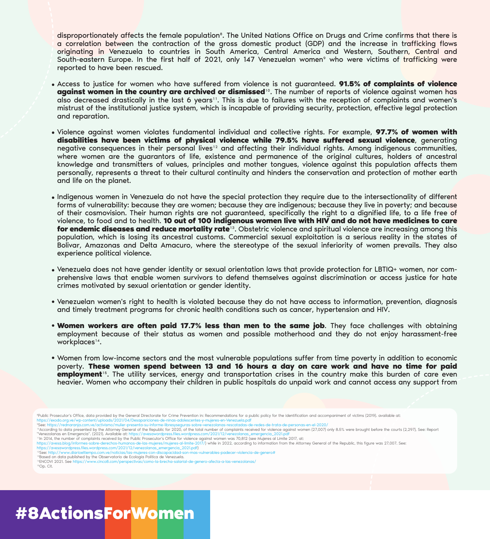disproportionately affects the female population<sup>8</sup>. The United Nations Office on Drugs and Crime confirms that there is a correlation between the contraction of the gross domestic product (GDP) and the increase in trafficking flows originating in Venezuela to countries in South America, Central America and Western, Southern, Central and South-eastern Europe. In the first half of 2021, only 147 Venezuelan women<sup>9</sup> who were victims of trafficking were reported to have been rescued.

- Access to justice for women who have suffered from violence is not guaranteed. **91.5% of complaints of violence**  against women in the country are archived or dismissed<sup>10</sup>. The number of reports of violence against women has also decreased drastically in the last 6 years<sup>11</sup>. This is due to failures with the reception of complaints and women's mistrust of the institutional justice system, which is incapable of providing security, protection, effective legal protection and reparation.
- Violence against women violates fundamental individual and collective rights. For example, **97.7% of women with disabilities have been victims of physical violence while 79.5% have suffered sexual violence**, generating negative consequences in their personal lives<sup>12</sup> and affecting their individual rights. Among indigenous communities, where women are the guarantors of life, existence and permanence of the original cultures, holders of ancestral knowledge and transmitters of values, principles and mother tongues, violence against this population affects them personally, represents a threat to their cultural continuity and hinders the conservation and protection of mother earth and life on the planet.
- Indigenous women in Venezuela do not have the special protection they require due to the intersectionality of different forms of vulnerability: because they are women; because they are indigenous; because they live in poverty; and because of their cosmovision. Their human rights are not guaranteed, specifically the right to a dignified life, to a life free of violence, to food and to health. **10 out of 100 indigenous women live with HIV and do not have medicines to care for endemic diseases and reduce mortality rate**13. Obstetric violence and spiritual violence are increasing among this population, which is losing its ancestral customs. Commercial sexual exploitation is a serious reality in the states of Bolivar, Amazonas and Delta Amacuro, where the stereotype of the sexual inferiority of women prevails. They also experience political violence.
- Venezuela does not have gender identity or sexual orientation laws that provide protection for LBTIQ+ women, nor comprehensive laws that enable women survivors to defend themselves against discrimination or access justice for hate crimes motivated by sexual orientation or gender identity.
- Venezuelan women's right to health is violated because they do not have access to information, prevention, diagnosis and timely treatment programs for chronic health conditions such as cancer, hypertension and HIV.
- **Women workers are often paid 17.7% less than men to the same job**. They face challenges with obtaining employment because of their status as women and possible motherhood and they do not enjoy harassment-free workplaces<sup>14</sup>.
- Women from low-income sectors and the most vulnerable populations suffer from time poverty in addition to economic poverty. **These women spend between 13 and 16 hours a day on care work and have no time for paid employment**15. The utility services, energy and transportation crises in the country make this burden of care even heavier. Women who accompany their children in public hospitals do unpaid work and cannot access any support from

<sup>8</sup>Public Prosecutor's Office, data provided by the General Directorate for Crime Prevention in: Recommendations for a public policy for the identification and accompaniment of victims (2019). available at: https://exodo.org.ve/wp-content/uploads/2021/04/Desapariciones-de-ninas-adolescentes-y-mujeres-en-Venezuela.pdf

11In 2014, the number of complaints received by the Public Prosecutor's Office for violence against women was 70,812 (see Mujeres al Límite 2017, at:

https://avesa.blog/informes-sobre-derechos-humanos-de-las-mujeres/mujeres-al-limite-2017/) while in 2022, according to information from the Attorney General of the Republic, this figure was 27,007. See:

https://avesawordpress.files.wordpress.com/2021/12/venezolanas\_emergencia\_2021.pdf) 12See: http://www.diarioeltiempo.com.ve/noticias/las-mujeres-con-discapacidad-son-mas-vulnerables-padecer-violencia-de-genero#

<sup>13</sup>Based on data published by the Observatorio de Ecología Política de Venezuela.<br><sup>14</sup>ENCOVI 2021. See https://www.cinco8.com/perspectivas/como-la-brecha-salarial-de-genero-afecta-a-las-venezolanas/ 14ENCOVI 2021. See https://www.cinco8.com/perspecti

15Op. Cit.

<sup>9</sup>See: https://rednaranja.com.ve/activismo/mulier-presenta-su-informe-libresyseguras-sobre-venezolanas-rescatadas-de-redes-de-trata-de-personas-en-el-2020/

<sup>&</sup>lt;sup>0</sup>According to data presented by the Attorney General of the Republic for 2020, of the total number of complaints received for violence against women (27,007) only 8.5% were brought before the courts (2,297), See: Report "Venezolanas en Emergencia". (2021). Available at: https://avesawordpress.files.wordpress.com/2021/12/venezola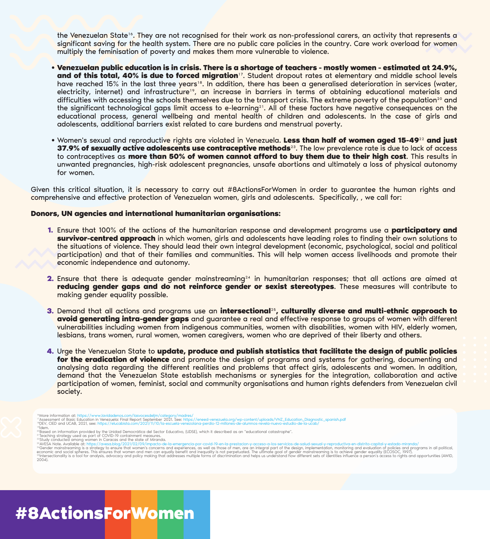the Venezuelan State<sup>16</sup>. They are not recognised for their work as non-professional carers, an activity that represents a significant saving for the health system. There are no public care policies in the country. Care work overload for women multiply the feminisation of poverty and makes them more vulnerable to violence.

- **Venezuelan public education is in crisis. There is a shortage of teachers mostly women estimated at 24.9%, and of this total, 40% is due to forced migration**17. Student dropout rates at elementary and middle school levels have reached 15% in the last three years<sup>18</sup>. In addition, there has been a generalised deterioration in services (water, electricity, internet) and infrastructure<sup>19</sup>, an increase in barriers in terms of obtaining educational materials and difficulties with accessing the schools themselves due to the transport crisis. The extreme poverty of the population<sup>20</sup> and the significant technological gaps limit access to e-learning<sup>21</sup>. All of these factors have negative consequences on the educational process, general wellbeing and mental health of children and adolescents. In the case of girls and adolescents, additional barriers exist related to care burdens and menstrual poverty.
- Women's sexual and reproductive rights are violated in Venezuela. **Less than half of women aged 15-49**22 **and just 37.9% of sexually active adolescents use contraceptive methods**23. The low prevalence rate is due to lack of access to contraceptives as **more than 50% of women cannot afford to buy them due to their high cost**. This results in unwanted pregnancies, high-risk adolescent pregnancies, unsafe abortions and ultimately a loss of physical autonomy for women.

Given this critical situation, it is necessary to carry out #8ActionsForWomen in order to guarantee the human rights and comprehensive and effective protection of Venezuelan women, girls and adolescents. Specifically, , we call for:

#### **Donors, UN agencies and international humanitarian organisations:**

- Ensure that 100% of the actions of the humanitarian response and development programs use a **participatory and 1. survivor-centred approach** in which women, girls and adolescents have leading roles to finding their own solutions to the situations of violence. They should lead their own integral development (economic, psychological, social and political participation) and that of their families and communities. This will help women access livelihoods and promote their economic independence and autonomy.
- 2. Ensure that there is adequate gender mainstreaming<sup>24</sup> in humanitarian responses; that all actions are aimed at **reducing gender gaps and do not reinforce gender or sexist stereotypes**. These measures will contribute to making gender equality possible.
- Demand that all actions and programs use an **intersectional**25**, culturally diverse and multi-ethnic approach to 3. avoid generating intra-gender gaps** and guarantee a real and effective response to groups of women with different vulnerabilities including women from indigenous communities, women with disabilities, women with HIV, elderly women, lesbians, trans women, rural women, women caregivers, women who are deprived of their liberty and others.
- Urge the Venezuelan State to **update, produce and publish statistics that facilitate the design of public policies 4. for the eradication of violence** and promote the design of programs and systems for gathering, documenting and analysing data regarding the different realities and problems that affect girls, adolescents and women. In addition, demand that the Venezuelan State establish mechanisms or synergies for the integration, collaboration and active participation of women, feminist, social and community organisations and human rights defenders from Venezuelan civil society.

- <sup>16</sup>More information at: https://www.lavidadenos.com/lasvocesdeljm/category/madres/<br><sup>17</sup>Assessment of Basic Education in Venezuela: Final Report September 2021. See: https://eneed-venezuela.org/wp-content/uploads/VNZ\_Educa
- 
- 
- 

<sup>20</sup>Based on information provided by the Unidad Democrática del Sector Educativo, (UDSE), which it described as an "educational catastrophe".<br><sup>21</sup>Teaching strategy used as part of COVID-19 containment measures.<br><sup>72</sup>Study c

economic and social spheres. This ensures that women and men can equally benefit and inequality is not perpetuated. The ultimate goal of gender mainstreaming is to achieve gender equality (ECOSOC, 1997). The state of perso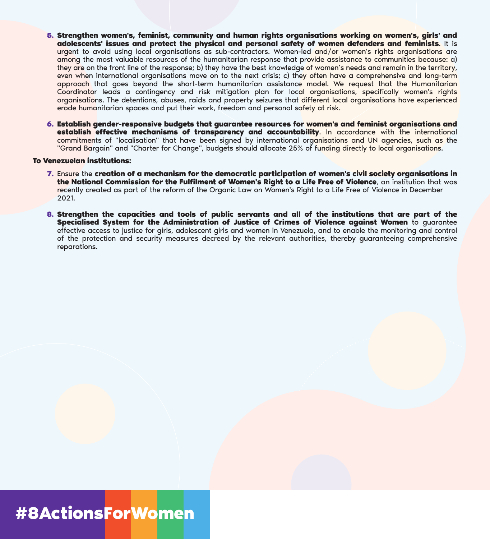- **Strengthen women's, feminist, community and human rights organisations working on women's, girls' and 5. adolescents' issues and protect the physical and personal safety of women defenders and feminists**. It is urgent to avoid using local organisations as sub-contractors. Women-led and/or women's rights organisations are among the most valuable resources of the humanitarian response that provide assistance to communities because: a) they are on the front line of the response; b) they have the best knowledge of women's needs and remain in the territory, even when international organisations move on to the next crisis; c) they often have a comprehensive and long-term approach that goes beyond the short-term humanitarian assistance model. We request that the Humanitarian Coordinator leads a contingency and risk mitigation plan for local organisations, specifically women's rights organisations. The detentions, abuses, raids and property seizures that different local organisations have experienced erode humanitarian spaces and put their work, freedom and personal safety at risk.
- **Establish gender-responsive budgets that guarantee resources for women's and feminist organisations and 6.establish effective mechanisms of transparency and accountability**. In accordance with the international commitments of "localisation" that have been signed by international organisations and UN agencies, such as the "Grand Bargain" and "Charter for Change", budgets should allocate 25% of funding directly to local organisations.

#### **To Venezuelan institutions:**

- Ensure the **creation of a mechanism for the democratic participation of women's civil society organisations in 7. the National Commission for the Fulfilment of Women's Right to a Life Free of Violence**, an institution that was recently created as part of the reform of the Organic Law on Women's Right to a Life Free of Violence in December 2021.
- **Strengthen the capacities and tools of public servants and all of the institutions that are part of the 8. Specialised System for the Administration of Justice of Crimes of Violence against Women** to guarantee effective access to justice for girls, adolescent girls and women in Venezuela, and to enable the monitoring and control of the protection and security measures decreed by the relevant authorities, thereby guaranteeing comprehensive reparations.